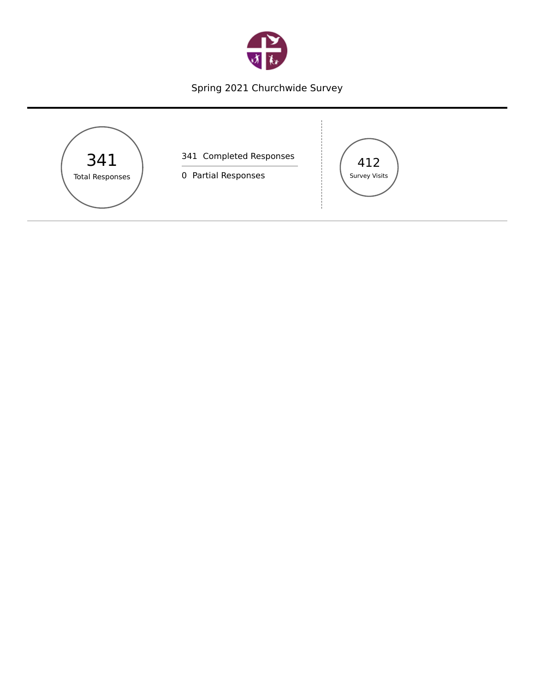

# Spring 2021 Churchwide Survey

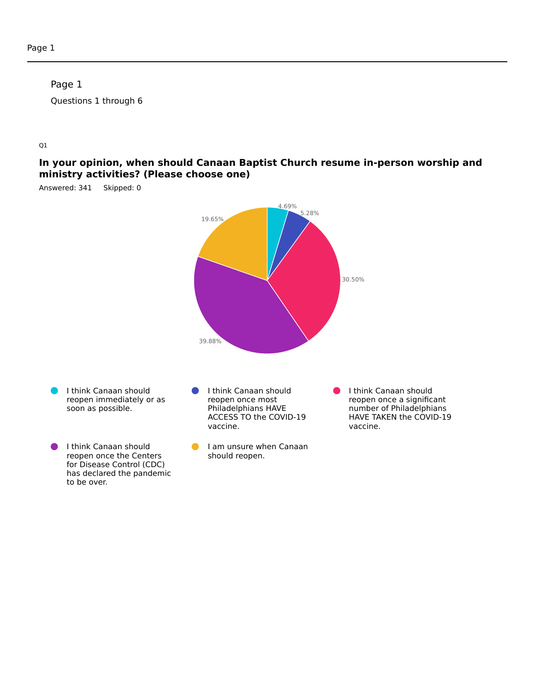#### Page 1

Questions 1 through 6

#### Q1

#### **In your opinion, when should Canaan Baptist Church resume in-person worship and ministry activities? (Please choose one)**

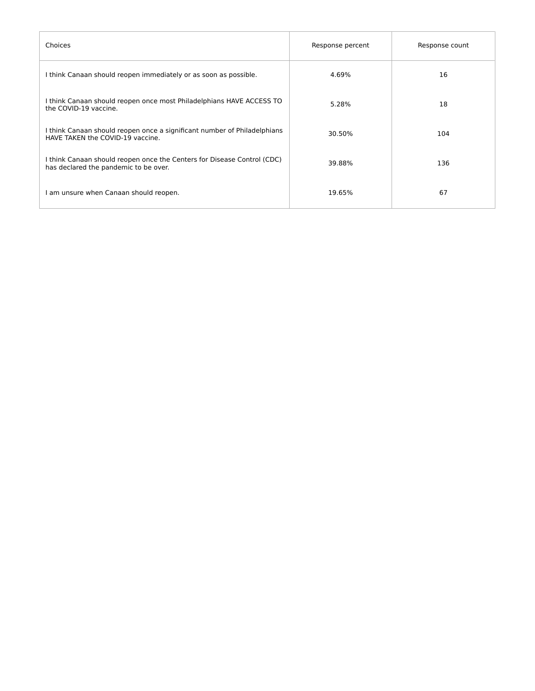| Choices                                                                                                          | Response percent | Response count |
|------------------------------------------------------------------------------------------------------------------|------------------|----------------|
| I think Canaan should reopen immediately or as soon as possible.                                                 | 4.69%            | 16             |
| I think Canaan should reopen once most Philadelphians HAVE ACCESS TO<br>the COVID-19 vaccine.                    | 5.28%            | 18             |
| I think Canaan should reopen once a significant number of Philadelphians<br>HAVE TAKEN the COVID-19 vaccine.     | 30.50%           | 104            |
| I think Canaan should reopen once the Centers for Disease Control (CDC)<br>has declared the pandemic to be over. | 39.88%           | 136            |
| am unsure when Canaan should reopen.                                                                             | 19.65%           | 67             |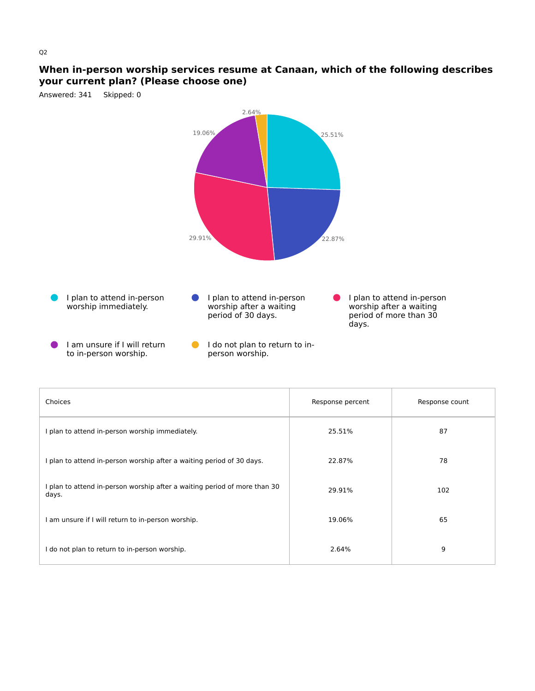#### **When in-person worship services resume at Canaan, which of the following describes your current plan? (Please choose one)**



| Choices                                                                            | Response percent | Response count |
|------------------------------------------------------------------------------------|------------------|----------------|
| I plan to attend in-person worship immediately.                                    | 25.51%           | 87             |
| I plan to attend in-person worship after a waiting period of 30 days.              | 22.87%           | 78             |
| I plan to attend in-person worship after a waiting period of more than 30<br>days. | 29.91%           | 102            |
| am unsure if I will return to in-person worship.                                   | 19.06%           | 65             |
| I do not plan to return to in-person worship.                                      | 2.64%            | 9              |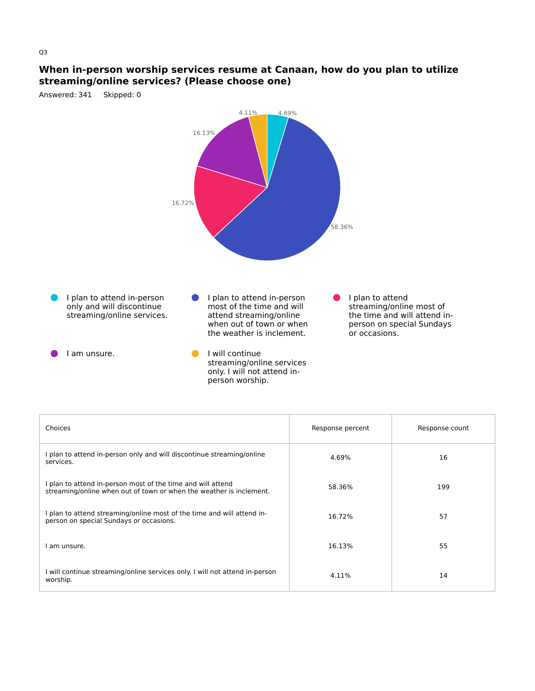#### **When in-person worship services resume at Canaan, how do you plan to utilize streaming/online services? (Please choose one)**



| Choices                                                                                                                            | Response percent | Response count |
|------------------------------------------------------------------------------------------------------------------------------------|------------------|----------------|
| I plan to attend in-person only and will discontinue streaming/online<br>services.                                                 | 4.69%            | 16             |
| I plan to attend in-person most of the time and will attend<br>streaming/online when out of town or when the weather is inclement. | 58.36%           | 199            |
| I plan to attend streaming/online most of the time and will attend in-<br>person on special Sundays or occasions.                  | 16.72%           | 57             |
| I am unsure.                                                                                                                       | 16.13%           | 55             |
| I will continue streaming/online services only. I will not attend in-person<br>worship.                                            | 4.11%            | 14             |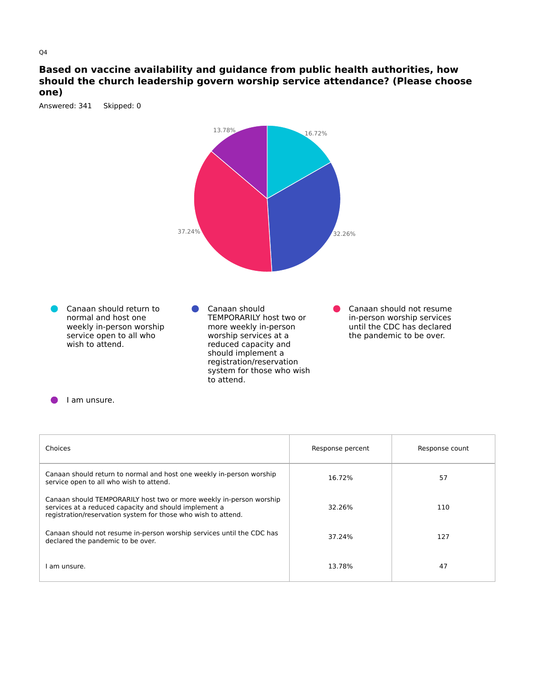#### **Based on vaccine availability and guidance from public health authorities, how should the church leadership govern worship service attendance? (Please choose one)**

Answered: 341 Skipped: 0



#### I am unsure.

| Choices                                                                                                                                                                                       | Response percent | Response count |
|-----------------------------------------------------------------------------------------------------------------------------------------------------------------------------------------------|------------------|----------------|
| Canaan should return to normal and host one weekly in-person worship<br>service open to all who wish to attend.                                                                               | 16.72%           | 57             |
| Canaan should TEMPORARILY host two or more weekly in-person worship<br>services at a reduced capacity and should implement a<br>registration/reservation system for those who wish to attend. | 32.26%           | 110            |
| Canaan should not resume in-person worship services until the CDC has<br>declared the pandemic to be over.                                                                                    | 37.24%           | 127            |
| am unsure.                                                                                                                                                                                    | 13.78%           | 47             |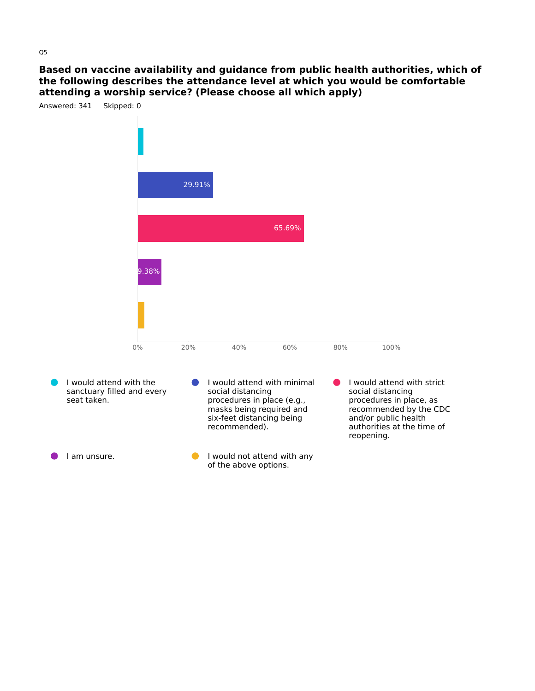**Based on vaccine availability and guidance from public health authorities, which of the following describes the attendance level at which you would be comfortable attending a worship service? (Please choose all which apply)**

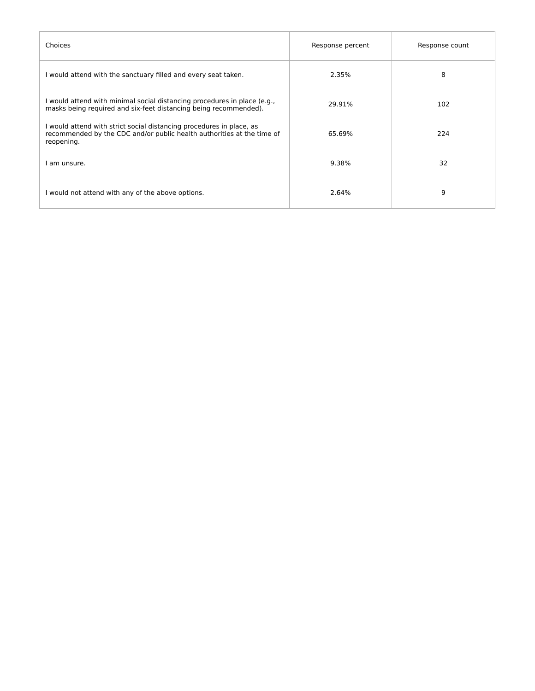| Choices                                                                                                                                                      | Response percent | Response count |
|--------------------------------------------------------------------------------------------------------------------------------------------------------------|------------------|----------------|
| I would attend with the sanctuary filled and every seat taken.                                                                                               | 2.35%            | 8              |
| I would attend with minimal social distancing procedures in place (e.g.,<br>masks being required and six-feet distancing being recommended).                 | 29.91%           | 102            |
| I would attend with strict social distancing procedures in place, as<br>recommended by the CDC and/or public health authorities at the time of<br>reopening. | 65.69%           | 224            |
| am unsure.                                                                                                                                                   | 9.38%            | 32             |
| I would not attend with any of the above options.                                                                                                            | 2.64%            | 9              |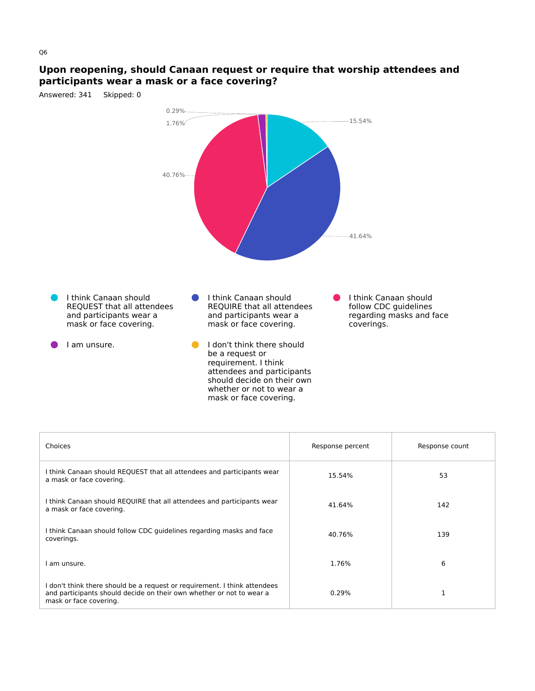## **Upon reopening, should Canaan request or require that worship attendees and participants wear a mask or a face covering?**



| Choices                                                                                                                                                                     | Response percent | Response count |
|-----------------------------------------------------------------------------------------------------------------------------------------------------------------------------|------------------|----------------|
| I think Canaan should REQUEST that all attendees and participants wear<br>a mask or face covering.                                                                          | 15.54%           | 53             |
| I think Canaan should REQUIRE that all attendees and participants wear<br>a mask or face covering.                                                                          | 41.64%           | 142            |
| I think Canaan should follow CDC guidelines regarding masks and face<br>coverings.                                                                                          | 40.76%           | 139            |
| am unsure.                                                                                                                                                                  | 1.76%            | 6              |
| I don't think there should be a request or requirement. I think attendees<br>and participants should decide on their own whether or not to wear a<br>mask or face covering. | 0.29%            |                |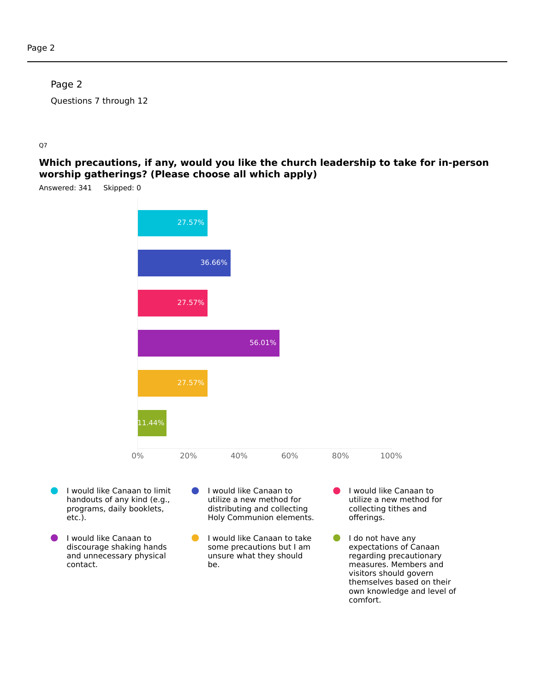## Page 2

Questions 7 through 12

#### Q7

**Which precautions, if any, would you like the church leadership to take for in-person worship gatherings? (Please choose all which apply)**



- I would like Canaan to limit handouts of any kind (e.g., programs, daily booklets, etc.).
- I would like Canaan to discourage shaking hands and unnecessary physical contact.
- I would like Canaan to O utilize a new method for distributing and collecting Holy Communion elements.
- I would like Canaan to take some precautions but I am unsure what they should be.
- I would like Canaan to utilize a new method for collecting tithes and offerings.
- $\bullet$ I do not have any expectations of Canaan regarding precautionary measures. Members and visitors should govern themselves based on their own knowledge and level of comfort.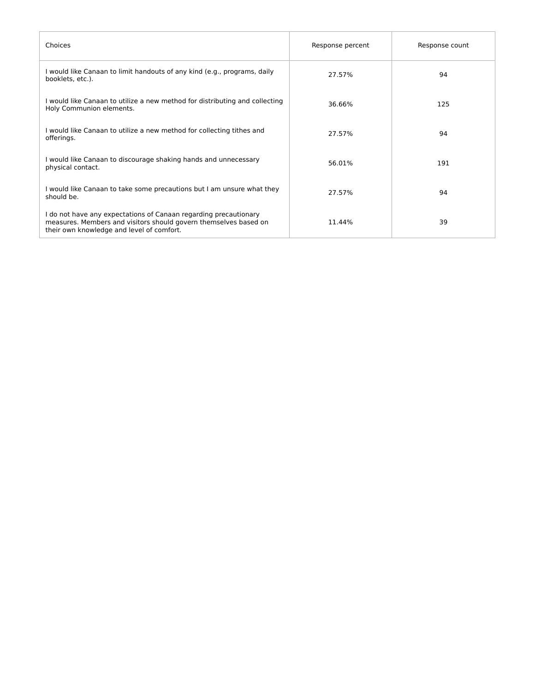| Choices                                                                                                                                                                           | Response percent | Response count |
|-----------------------------------------------------------------------------------------------------------------------------------------------------------------------------------|------------------|----------------|
| I would like Canaan to limit handouts of any kind (e.g., programs, daily<br>booklets, etc.).                                                                                      | 27.57%           | 94             |
| I would like Canaan to utilize a new method for distributing and collecting<br>Holy Communion elements.                                                                           | 36.66%           | 125            |
| I would like Canaan to utilize a new method for collecting tithes and<br>offerings.                                                                                               | 27.57%           | 94             |
| I would like Canaan to discourage shaking hands and unnecessary<br>physical contact.                                                                                              | 56.01%           | 191            |
| I would like Canaan to take some precautions but I am unsure what they<br>should be.                                                                                              | 27.57%           | 94             |
| I do not have any expectations of Canaan regarding precautionary<br>measures. Members and visitors should govern themselves based on<br>their own knowledge and level of comfort. | 11.44%           | 39             |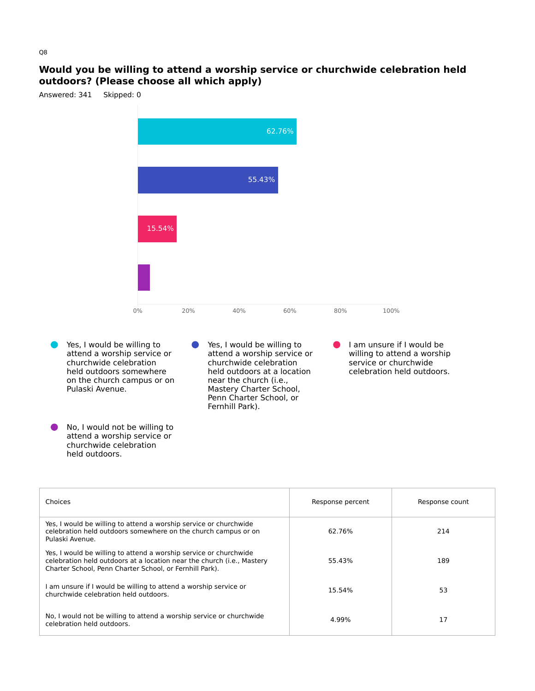#### **Would you be willing to attend a worship service or churchwide celebration held outdoors? (Please choose all which apply)**



- Yes, I would be willing to attend a worship service or churchwide celebration held outdoors somewhere on the church campus or on Pulaski Avenue.
- No, I would not be willing to attend a worship service or churchwide celebration held outdoors.
- Yes, I would be willing to  $\bullet$ attend a worship service or churchwide celebration held outdoors at a location near the church (i.e., Mastery Charter School, Penn Charter School, or Fernhill Park).
- **I** am unsure if I would be willing to attend a worship service or churchwide celebration held outdoors.

| Choices                                                                                                                                                                                                | Response percent | Response count |
|--------------------------------------------------------------------------------------------------------------------------------------------------------------------------------------------------------|------------------|----------------|
| Yes, I would be willing to attend a worship service or churchwide<br>celebration held outdoors somewhere on the church campus or on<br>Pulaski Avenue.                                                 | 62.76%           | 214            |
| Yes, I would be willing to attend a worship service or churchwide<br>celebration held outdoors at a location near the church (i.e., Mastery<br>Charter School, Penn Charter School, or Fernhill Park). | 55.43%           | 189            |
| I am unsure if I would be willing to attend a worship service or<br>churchwide celebration held outdoors.                                                                                              | 15.54%           | 53             |
| No, I would not be willing to attend a worship service or churchwide<br>celebration held outdoors.                                                                                                     | 4.99%            | 17             |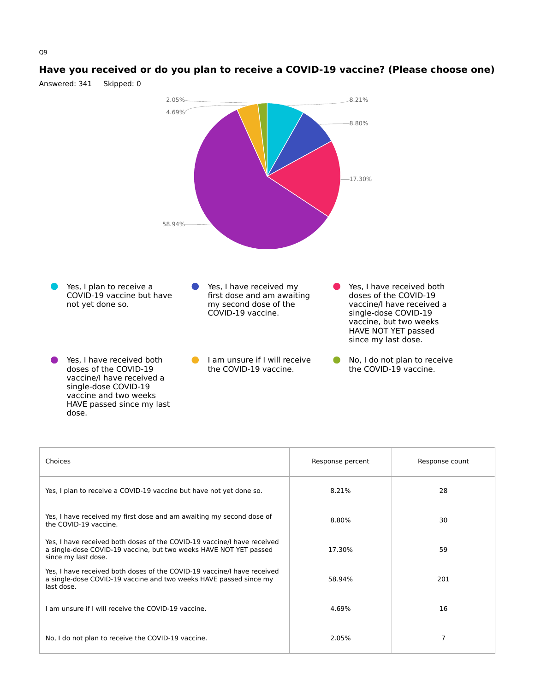#### **Have you received or do you plan to receive a COVID-19 vaccine? (Please choose one)** Answered: 341 Skipped: 0

![](_page_12_Figure_1.jpeg)

| Choices                                                                                                                                                             | Response percent | Response count |
|---------------------------------------------------------------------------------------------------------------------------------------------------------------------|------------------|----------------|
| Yes, I plan to receive a COVID-19 vaccine but have not yet done so.                                                                                                 | 8.21%            | 28             |
| Yes, I have received my first dose and am awaiting my second dose of<br>the COVID-19 vaccine.                                                                       | 8.80%            | 30             |
| Yes, I have received both doses of the COVID-19 vaccine/I have received<br>a single-dose COVID-19 vaccine, but two weeks HAVE NOT YET passed<br>since my last dose. | 17.30%           | 59             |
| Yes, I have received both doses of the COVID-19 vaccine/I have received<br>a single-dose COVID-19 vaccine and two weeks HAVE passed since my<br>last dose.          | 58.94%           | 201            |
| I am unsure if I will receive the COVID-19 vaccine.                                                                                                                 | 4.69%            | 16             |
| No, I do not plan to receive the COVID-19 vaccine.                                                                                                                  | 2.05%            | 7              |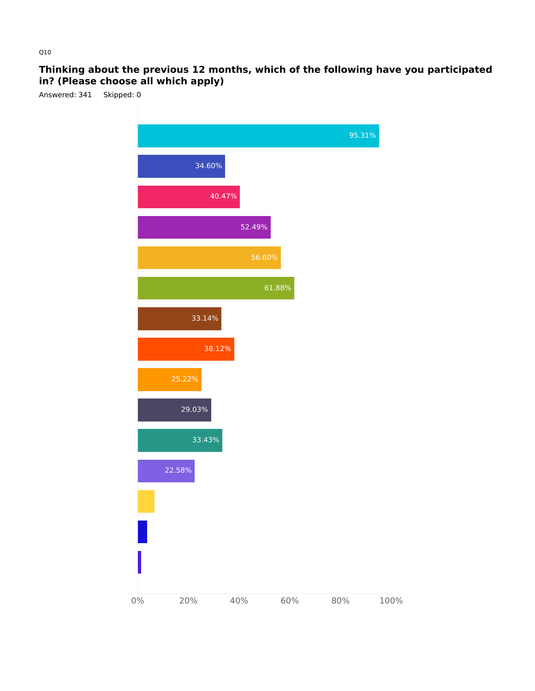# **Thinking about the previous 12 months, which of the following have you participated in? (Please choose all which apply)**

![](_page_13_Figure_1.jpeg)

![](_page_13_Figure_2.jpeg)

Q10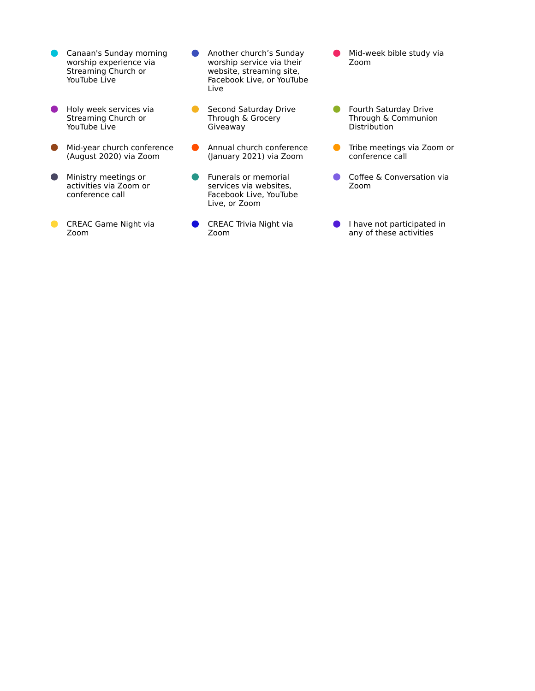- Canaan's Sunday morning worship experience via Streaming Church or YouTube Live
- Holy week services via  $\bullet$ Streaming Church or YouTube Live
- **Mid-year church conference** (August 2020) via Zoom
- **Ministry meetings or** activities via Zoom or conference call
- **CREAC Game Night via** Zoom
- Another church's Sunday  $\bullet$ worship service via their website, streaming site, Facebook Live, or YouTube Live
- Second Saturday Drive Through & Grocery Giveaway
- $\bullet$ Annual church conference (January 2021) via Zoom
- Funerals or memorial  $\bullet$ services via websites, Facebook Live, YouTube Live, or Zoom
- **CREAC Trivia Night via** Zoom
- Mid-week bible study via Zoom
- **C** Fourth Saturday Drive Through & Communion **Distribution**
- $\bullet$ Tribe meetings via Zoom or conference call
- $\bullet$ Coffee & Conversation via Zoom
- I have not participated in any of these activities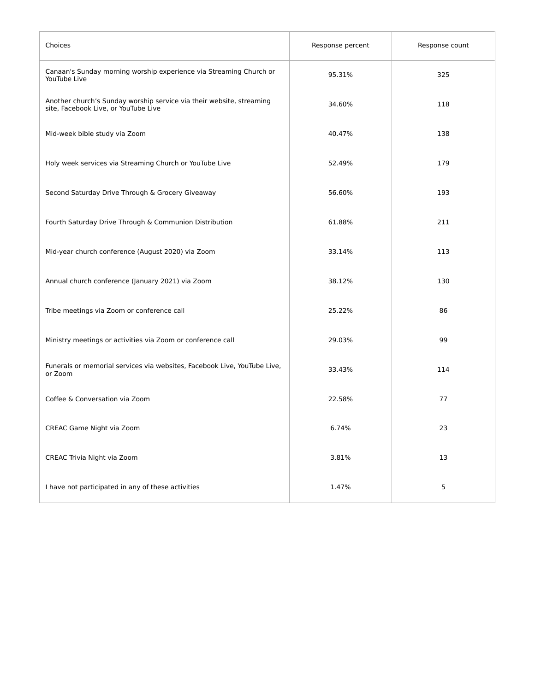| Choices                                                                                                      | Response percent | Response count |
|--------------------------------------------------------------------------------------------------------------|------------------|----------------|
| Canaan's Sunday morning worship experience via Streaming Church or<br>YouTube Live                           | 95.31%           | 325            |
| Another church's Sunday worship service via their website, streaming<br>site, Facebook Live, or YouTube Live | 34.60%           | 118            |
| Mid-week bible study via Zoom                                                                                | 40.47%           | 138            |
| Holy week services via Streaming Church or YouTube Live                                                      | 52.49%           | 179            |
| Second Saturday Drive Through & Grocery Giveaway                                                             | 56.60%           | 193            |
| Fourth Saturday Drive Through & Communion Distribution                                                       | 61.88%           | 211            |
| Mid-year church conference (August 2020) via Zoom                                                            | 33.14%           | 113            |
| Annual church conference (January 2021) via Zoom                                                             | 38.12%           | 130            |
| Tribe meetings via Zoom or conference call                                                                   | 25.22%           | 86             |
| Ministry meetings or activities via Zoom or conference call                                                  | 29.03%           | 99             |
| Funerals or memorial services via websites, Facebook Live, YouTube Live,<br>or Zoom                          | 33.43%           | 114            |
| Coffee & Conversation via Zoom                                                                               | 22.58%           | 77             |
| CREAC Game Night via Zoom                                                                                    | 6.74%            | 23             |
| CREAC Trivia Night via Zoom                                                                                  | 3.81%            | 13             |
| I have not participated in any of these activities                                                           | 1.47%            | $\mathsf S$    |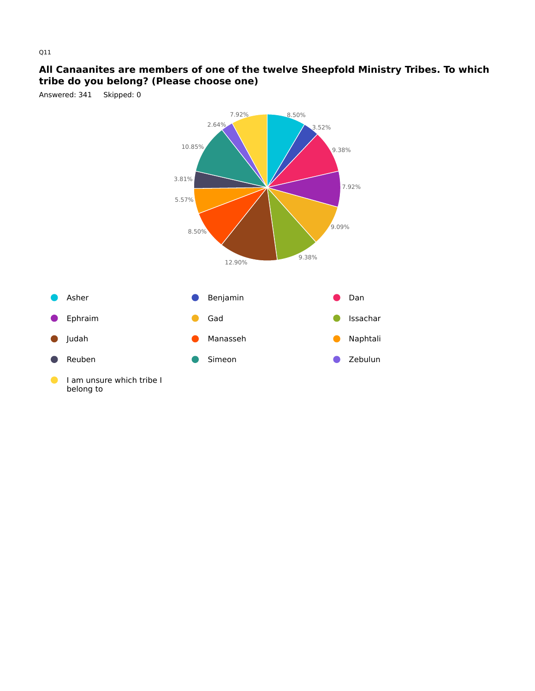## **All Canaanites are members of one of the twelve Sheepfold Ministry Tribes. To which tribe do you belong? (Please choose one)**

Answered: 341 Skipped: 0

![](_page_16_Figure_2.jpeg)

Q11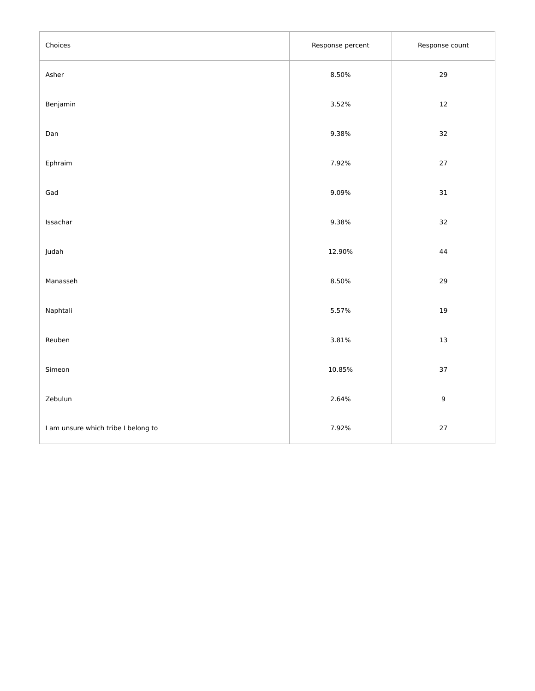| Choices                             | Response percent | Response count |
|-------------------------------------|------------------|----------------|
| Asher                               | 8.50%            | 29             |
| Benjamin                            | 3.52%            | $12\,$         |
| Dan                                 | 9.38%            | 32             |
| Ephraim                             | 7.92%            | $27\,$         |
| Gad                                 | 9.09%            | 31             |
| Issachar                            | 9.38%            | 32             |
| Judah                               | 12.90%           | $\bf 44$       |
| Manasseh                            | 8.50%            | 29             |
| Naphtali                            | 5.57%            | $19\,$         |
| Reuben                              | 3.81%            | $13\,$         |
| Simeon                              | 10.85%           | 37             |
| Zebulun                             | 2.64%            | $\mathsf g$    |
| I am unsure which tribe I belong to | 7.92%            | $27\,$         |